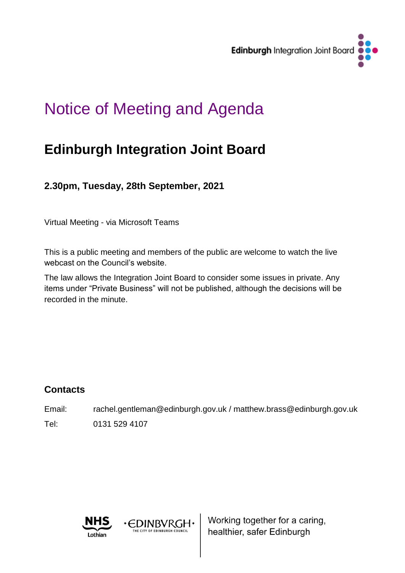

# Notice of Meeting and Agenda

## **Edinburgh Integration Joint Board**

**2.30pm, Tuesday, 28th September, 2021**

Virtual Meeting - via Microsoft Teams

This is a public meeting and members of the public are welcome to watch the live webcast on the Council's website.

The law allows the Integration Joint Board to consider some issues in private. Any items under "Private Business" will not be published, although the decisions will be recorded in the minute.

## **Contacts**

Email: rachel.gentleman@edinburgh.gov.uk / matthew.brass@edinburgh.gov.uk Tel: 0131 529 4107



· EDINBVRGH·

HE CITY OF EDINBURGH COUNCIL

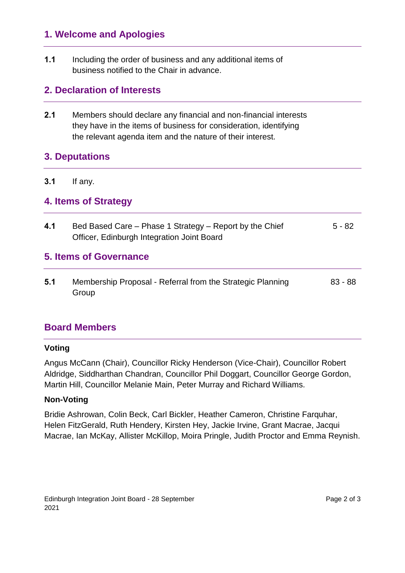## **1. Welcome and Apologies**

**1.1** Including the order of business and any additional items of business notified to the Chair in advance.

## **2. Declaration of Interests**

**2.1** Members should declare any financial and non-financial interests they have in the items of business for consideration, identifying the relevant agenda item and the nature of their interest.

## **3. Deputations**

#### **3.1** If any.

### **4. Items of Strategy**

**4.1** Bed Based Care – Phase 1 Strategy – Report by the Chief Officer, Edinburgh Integration Joint Board 5 - 82 **5. Items of Governance 5.1** Membership Proposal - Referral from the Strategic Planning Group 83 - 88

## **Board Members**

#### **Voting**

Angus McCann (Chair), Councillor Ricky Henderson (Vice-Chair), Councillor Robert Aldridge, Siddharthan Chandran, Councillor Phil Doggart, Councillor George Gordon, Martin Hill, Councillor Melanie Main, Peter Murray and Richard Williams.

#### **Non-Voting**

Bridie Ashrowan, Colin Beck, Carl Bickler, Heather Cameron, Christine Farquhar, Helen FitzGerald, Ruth Hendery, Kirsten Hey, Jackie Irvine, Grant Macrae, Jacqui Macrae, Ian McKay, Allister McKillop, Moira Pringle, Judith Proctor and Emma Reynish.